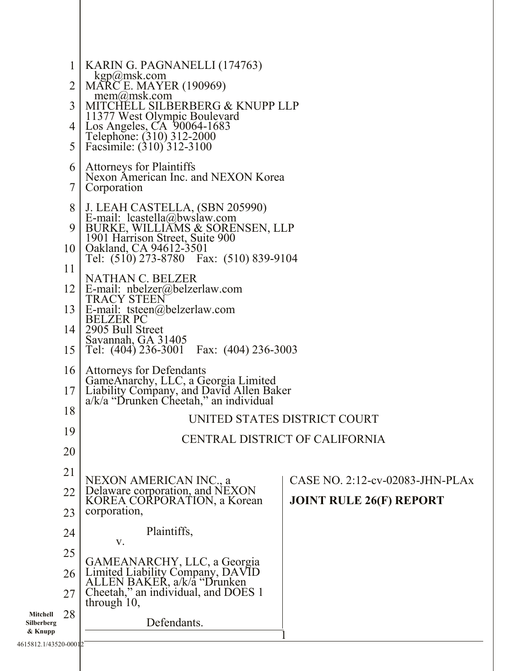| $\mathbf 1$<br>2<br>3                                                   | KARIN G. PAGNANELLI (174763)<br>kgp@msk.com<br><b>MARCE. MAYER (190969)</b><br>$m$ em $(a)$ msk.com<br>MITCHELL SILBERBERG & KNUPP LLP                                                                                                                                                                                                                                                                                                                                                                                                                                                                                                                  |                                                                   |  |
|-------------------------------------------------------------------------|---------------------------------------------------------------------------------------------------------------------------------------------------------------------------------------------------------------------------------------------------------------------------------------------------------------------------------------------------------------------------------------------------------------------------------------------------------------------------------------------------------------------------------------------------------------------------------------------------------------------------------------------------------|-------------------------------------------------------------------|--|
| 4 <br>5                                                                 | 11377 West Olympic Boulevard<br>Los Angeles, CA 90064-1683<br>Telephone: (310) 312-2000<br>Facsimile: (310) 312-3100                                                                                                                                                                                                                                                                                                                                                                                                                                                                                                                                    |                                                                   |  |
| 6<br>7                                                                  | <b>Attorneys for Plaintiffs</b><br>Nexon American Inc. and NEXON Korea<br>Corporation                                                                                                                                                                                                                                                                                                                                                                                                                                                                                                                                                                   |                                                                   |  |
| 8<br>10 <sup>1</sup>                                                    | J. LEAH CASTELLA, (SBN 205990)<br>E-mail: lcastella@bwslaw.com<br>9 <sup>1</sup><br>BURKE, WILLIAMS & SORENSEN, LLP<br>1901 Harrison Street, Suite 900<br>Qakland, CA 94612-3501<br>Tel: (510) 273-8780 Fax: (510) 839-9104<br>11<br>NATHAN C. BELZER<br>E-mail: $nbelzer@belzerlaw.com$<br><b>TRACY STEEN</b><br>E-mail: tsteen@belzerlaw.com<br><b>BELZER PC</b><br>2905 Bull Street<br>Savannah, GA 31405<br>Tel: (404) 236-3001 Fax: (404) 236-3003<br><b>Attorneys for Defendants</b><br>GameAnarchy, LLC, a Georgia Limited<br>Liability Company, and David Allen Baker<br>a/k/a "Drunken Cheetah," an individual<br>UNITED STATES DISTRICT COURT |                                                                   |  |
| 12 <sup>1</sup><br>13 <sup>1</sup><br>14 <sup>1</sup>                   |                                                                                                                                                                                                                                                                                                                                                                                                                                                                                                                                                                                                                                                         |                                                                   |  |
| 15<br>16<br>17 <sup>1</sup>                                             |                                                                                                                                                                                                                                                                                                                                                                                                                                                                                                                                                                                                                                                         |                                                                   |  |
| 18                                                                      |                                                                                                                                                                                                                                                                                                                                                                                                                                                                                                                                                                                                                                                         |                                                                   |  |
| 19<br>20                                                                | CENTRAL DISTRICT OF CALIFORNIA                                                                                                                                                                                                                                                                                                                                                                                                                                                                                                                                                                                                                          |                                                                   |  |
| 21<br>22<br>23                                                          | NEXON AMERICAN INC., a<br>Delaware corporation, and NEXON<br>KOREA CORPORATION, a Korean<br>corporation,                                                                                                                                                                                                                                                                                                                                                                                                                                                                                                                                                | CASE NO. 2:12-cv-02083-JHN-PLAx<br><b>JOINT RULE 26(F) REPORT</b> |  |
| 24<br>25                                                                | Plaintiffs,<br>V.                                                                                                                                                                                                                                                                                                                                                                                                                                                                                                                                                                                                                                       |                                                                   |  |
| 26<br>27<br>28<br>Mitchell<br>Silberberg<br>& Knupp<br>5012 1/12520 000 | GAMEANARCHY, LLC, a Georgia<br>Limited Liability Company, DAVID<br>ALLEN BAKER, a/k/a "Drunken<br>Cheetah," an individual, and DOES 1<br>through $10$ ,<br>Defendants.                                                                                                                                                                                                                                                                                                                                                                                                                                                                                  |                                                                   |  |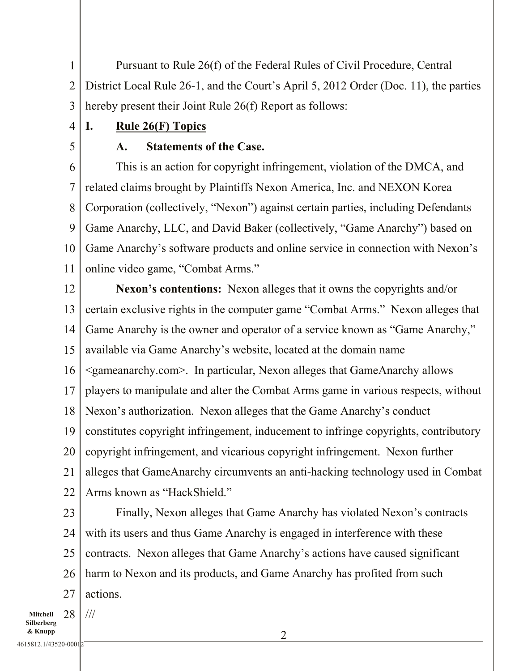1 2 3 Pursuant to Rule 26(f) of the Federal Rules of Civil Procedure, Central District Local Rule 26-1, and the Court's April 5, 2012 Order (Doc. 11), the parties hereby present their Joint Rule 26(f) Report as follows:

I. Rule 26(F) Topics

5

4

## A. Statements of the Case.

6 7 8 9 10 11 This is an action for copyright infringement, violation of the DMCA, and related claims brought by Plaintiffs Nexon America, Inc. and NEXON Korea Corporation (collectively, "Nexon") against certain parties, including Defendants Game Anarchy, LLC, and David Baker (collectively, "Game Anarchy") based on Game Anarchy's software products and online service in connection with Nexon's online video game, "Combat Arms."

12 13 14 15 16 17 18 19 20 21 22 Nexon's contentions: Nexon alleges that it owns the copyrights and/or certain exclusive rights in the computer game "Combat Arms." Nexon alleges that Game Anarchy is the owner and operator of a service known as "Game Anarchy," available via Game Anarchy's website, located at the domain name <gameanarchy.com>. In particular, Nexon alleges that GameAnarchy allows players to manipulate and alter the Combat Arms game in various respects, without Nexon's authorization. Nexon alleges that the Game Anarchy's conduct constitutes copyright infringement, inducement to infringe copyrights, contributory copyright infringement, and vicarious copyright infringement. Nexon further alleges that GameAnarchy circumvents an anti-hacking technology used in Combat Arms known as "HackShield."

23 24 25 26 27 Finally, Nexon alleges that Game Anarchy has violated Nexon's contracts with its users and thus Game Anarchy is engaged in interference with these contracts. Nexon alleges that Game Anarchy's actions have caused significant harm to Nexon and its products, and Game Anarchy has profited from such actions.

Mitchell Silberberg & Knupp 28 ///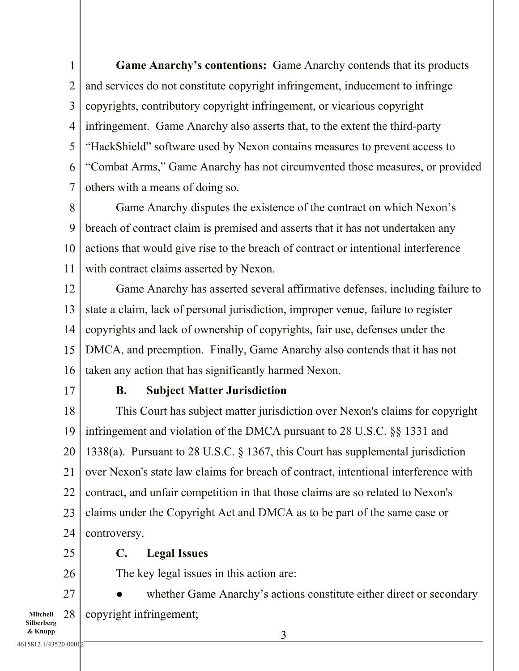1 2 3 4 5 6 7 Game Anarchy's contentions: Game Anarchy contends that its products and services do not constitute copyright infringement, inducement to infringe copyrights, contributory copyright infringement, or vicarious copyright infringement. Game Anarchy also asserts that, to the extent the third-party "HackShield" software used by Nexon contains measures to prevent access to "Combat Arms," Game Anarchy has not circumvented those measures, or provided others with a means of doing so.

8 9 10 11 Game Anarchy disputes the existence of the contract on which Nexon's breach of contract claim is premised and asserts that it has not undertaken any actions that would give rise to the breach of contract or intentional interference with contract claims asserted by Nexon.

12 13 14 15 16 Game Anarchy has asserted several affirmative defenses, including failure to state a claim, lack of personal jurisdiction, improper venue, failure to register copyrights and lack of ownership of copyrights, fair use, defenses under the DMCA, and preemption. Finally, Game Anarchy also contends that it has not taken any action that has significantly harmed Nexon.

17

### B. Subject Matter Jurisdiction

18 19 20 21 22 23 24 This Court has subject matter jurisdiction over Nexon's claims for copyright infringement and violation of the DMCA pursuant to 28 U.S.C. §§ 1331 and 1338(a). Pursuant to 28 U.S.C. § 1367, this Court has supplemental jurisdiction over Nexon's state law claims for breach of contract, intentional interference with contract, and unfair competition in that those claims are so related to Nexon's claims under the Copyright Act and DMCA as to be part of the same case or controversy.

25

### C. Legal Issues

26

The key legal issues in this action are:

Mitchell Silberberg 27 28 whether Game Anarchy's actions constitute either direct or secondary copyright infringement;

4615812.1/43520-00012

& Knupp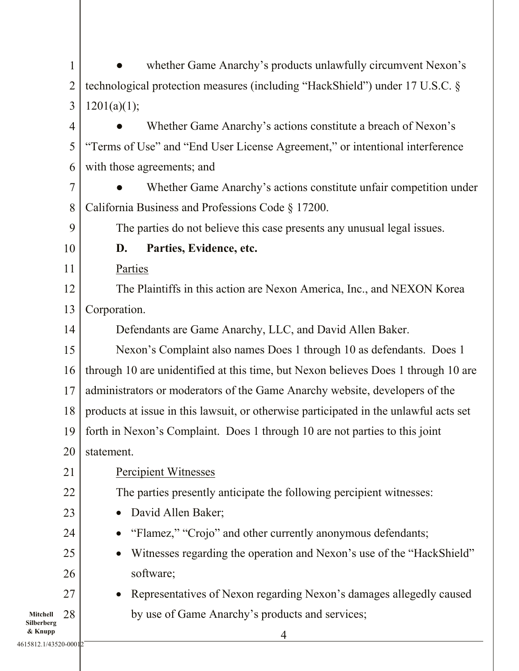|                        | $\mathbf{1}$   | whether Game Anarchy's products unlawfully circumvent Nexon's                         |  |  |
|------------------------|----------------|---------------------------------------------------------------------------------------|--|--|
|                        | $\overline{2}$ | technological protection measures (including "HackShield") under 17 U.S.C. §          |  |  |
|                        | 3              | 1201(a)(1);                                                                           |  |  |
|                        | 4              | Whether Game Anarchy's actions constitute a breach of Nexon's                         |  |  |
|                        | 5              | "Terms of Use" and "End User License Agreement," or intentional interference          |  |  |
|                        | 6              | with those agreements; and                                                            |  |  |
|                        | $\tau$         | Whether Game Anarchy's actions constitute unfair competition under                    |  |  |
|                        | 8              | California Business and Professions Code § 17200.                                     |  |  |
|                        | 9              | The parties do not believe this case presents any unusual legal issues.               |  |  |
|                        | 10             | Parties, Evidence, etc.<br>D.                                                         |  |  |
|                        | 11             | Parties                                                                               |  |  |
|                        | 12             | The Plaintiffs in this action are Nexon America, Inc., and NEXON Korea                |  |  |
|                        | 13             | Corporation.                                                                          |  |  |
|                        | 14             | Defendants are Game Anarchy, LLC, and David Allen Baker.                              |  |  |
|                        | 15             | Nexon's Complaint also names Does 1 through 10 as defendants. Does 1                  |  |  |
|                        | 16             | through 10 are unidentified at this time, but Nexon believes Does 1 through 10 are    |  |  |
|                        | 17             | administrators or moderators of the Game Anarchy website, developers of the           |  |  |
|                        | 18             | products at issue in this lawsuit, or otherwise participated in the unlawful acts set |  |  |
|                        |                | 19   forth in Nexon's Complaint. Does 1 through 10 are not parties to this joint      |  |  |
|                        | 20             | statement.                                                                            |  |  |
|                        | 21             | <b>Percipient Witnesses</b>                                                           |  |  |
|                        | 22             | The parties presently anticipate the following percipient witnesses:                  |  |  |
|                        | 23             | David Allen Baker;                                                                    |  |  |
|                        | 24             | "Flamez," "Crojo" and other currently anonymous defendants;                           |  |  |
|                        | 25             | Witnesses regarding the operation and Nexon's use of the "HackShield"                 |  |  |
|                        | 26             | software;                                                                             |  |  |
|                        | 27             | Representatives of Nexon regarding Nexon's damages allegedly caused                   |  |  |
| Mitchell<br>Silberberg | 28             | by use of Game Anarchy's products and services;                                       |  |  |
| & Knupp                |                |                                                                                       |  |  |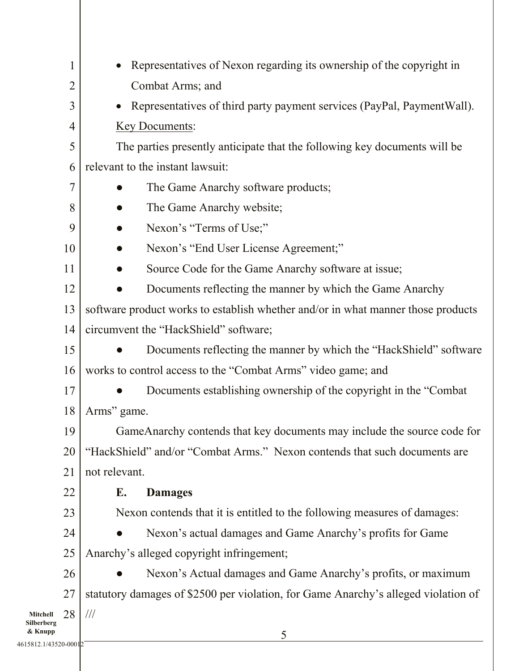|                        | $\mathbf{1}$                                              | Representatives of Nexon regarding its ownership of the copyright in               |  |  |
|------------------------|-----------------------------------------------------------|------------------------------------------------------------------------------------|--|--|
|                        | $\overline{2}$                                            | Combat Arms; and                                                                   |  |  |
|                        | 3                                                         | Representatives of third party payment services (PayPal, PaymentWall).             |  |  |
|                        | $\overline{4}$                                            | <b>Key Documents:</b>                                                              |  |  |
|                        | 5                                                         | The parties presently anticipate that the following key documents will be          |  |  |
|                        | 6                                                         | relevant to the instant lawsuit:                                                   |  |  |
|                        | 7                                                         | The Game Anarchy software products;                                                |  |  |
|                        | 8                                                         | The Game Anarchy website;                                                          |  |  |
|                        | 9                                                         | Nexon's "Terms of Use;"                                                            |  |  |
|                        | 10                                                        | Nexon's "End User License Agreement;"                                              |  |  |
|                        | 11<br>Source Code for the Game Anarchy software at issue; |                                                                                    |  |  |
|                        | 12                                                        | Documents reflecting the manner by which the Game Anarchy                          |  |  |
|                        | 13                                                        | software product works to establish whether and/or in what manner those products   |  |  |
|                        | 14                                                        | circumvent the "HackShield" software;                                              |  |  |
|                        | 15                                                        | Documents reflecting the manner by which the "HackShield" software                 |  |  |
|                        | 16                                                        | works to control access to the "Combat Arms" video game; and                       |  |  |
|                        | 17                                                        | Documents establishing ownership of the copyright in the "Combat"                  |  |  |
|                        | 18                                                        | Arms" game.                                                                        |  |  |
|                        | 19                                                        | GameAnarchy contends that key documents may include the source code for            |  |  |
|                        | 20                                                        | "HackShield" and/or "Combat Arms." Nexon contends that such documents are          |  |  |
|                        | 21                                                        | not relevant.                                                                      |  |  |
|                        | 22                                                        | Е.<br><b>Damages</b>                                                               |  |  |
|                        | 23                                                        | Nexon contends that it is entitled to the following measures of damages:           |  |  |
|                        | 24                                                        | Nexon's actual damages and Game Anarchy's profits for Game                         |  |  |
|                        | 25                                                        | Anarchy's alleged copyright infringement;                                          |  |  |
|                        | 26                                                        | Nexon's Actual damages and Game Anarchy's profits, or maximum                      |  |  |
|                        | 27                                                        | statutory damages of \$2500 per violation, for Game Anarchy's alleged violation of |  |  |
| Mitchell<br>Silberberg | 28                                                        | $/\!/ \!/$                                                                         |  |  |
| & Knupp                |                                                           | 5                                                                                  |  |  |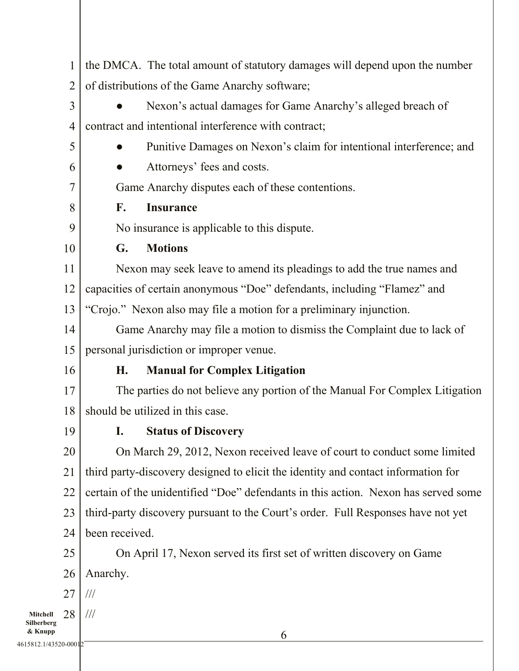|                                  | $\mathbf 1$    | the DMCA. The total amount of statutory damages will depend upon the number        |  |  |
|----------------------------------|----------------|------------------------------------------------------------------------------------|--|--|
|                                  | $\overline{2}$ | of distributions of the Game Anarchy software;                                     |  |  |
|                                  | 3              | Nexon's actual damages for Game Anarchy's alleged breach of                        |  |  |
|                                  | 4              | contract and intentional interference with contract;                               |  |  |
|                                  | 5              | Punitive Damages on Nexon's claim for intentional interference; and                |  |  |
|                                  | 6              | Attorneys' fees and costs.                                                         |  |  |
|                                  | 7              | Game Anarchy disputes each of these contentions.                                   |  |  |
|                                  | 8              | <b>Insurance</b><br>F.                                                             |  |  |
|                                  | 9              | No insurance is applicable to this dispute.                                        |  |  |
|                                  | 10             | G.<br><b>Motions</b>                                                               |  |  |
|                                  | 11             | Nexon may seek leave to amend its pleadings to add the true names and              |  |  |
|                                  | 12             | capacities of certain anonymous "Doe" defendants, including "Flamez" and           |  |  |
|                                  | 13             | "Crojo." Nexon also may file a motion for a preliminary injunction.                |  |  |
|                                  | 14             | Game Anarchy may file a motion to dismiss the Complaint due to lack of             |  |  |
|                                  | 15             | personal jurisdiction or improper venue.                                           |  |  |
|                                  | 16             | Η.<br><b>Manual for Complex Litigation</b>                                         |  |  |
|                                  | 17             | The parties do not believe any portion of the Manual For Complex Litigation        |  |  |
|                                  | 18             | should be utilized in this case.                                                   |  |  |
|                                  | 19             | I. Status of Discovery                                                             |  |  |
|                                  | 20             | On March 29, 2012, Nexon received leave of court to conduct some limited           |  |  |
|                                  | 21             | third party-discovery designed to elicit the identity and contact information for  |  |  |
|                                  | 22             | certain of the unidentified "Doe" defendants in this action. Nexon has served some |  |  |
|                                  | 23             | third-party discovery pursuant to the Court's order. Full Responses have not yet   |  |  |
|                                  | 24             | been received.                                                                     |  |  |
|                                  | 25             | On April 17, Nexon served its first set of written discovery on Game               |  |  |
|                                  | 26             | Anarchy.                                                                           |  |  |
|                                  | 27             | $\frac{1}{1}$                                                                      |  |  |
| Mitchell<br>Silberberg           | 28             | $\frac{1}{1}$                                                                      |  |  |
| & Knupp<br>4615812.1/43520-00012 |                | 6                                                                                  |  |  |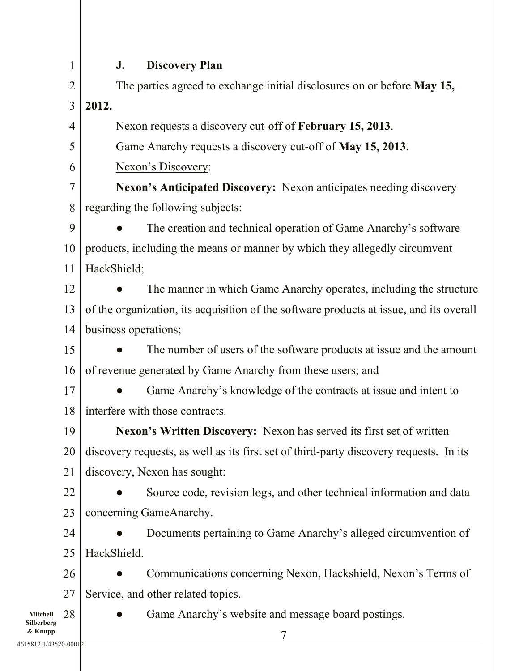1

# J. Discovery Plan

| $\overline{2}$               | The parties agreed to exchange initial disclosures on or before May 15,                               |  |  |
|------------------------------|-------------------------------------------------------------------------------------------------------|--|--|
| 3                            | 2012.                                                                                                 |  |  |
| $\overline{4}$               | Nexon requests a discovery cut-off of February 15, 2013.                                              |  |  |
| 5                            | Game Anarchy requests a discovery cut-off of May 15, 2013.                                            |  |  |
| 6                            | Nexon's Discovery:                                                                                    |  |  |
| $\tau$                       | <b>Nexon's Anticipated Discovery:</b> Nexon anticipates needing discovery                             |  |  |
| 8                            | regarding the following subjects:                                                                     |  |  |
| 9                            | The creation and technical operation of Game Anarchy's software                                       |  |  |
|                              | products, including the means or manner by which they allegedly circumvent<br>10<br>HackShield;<br>11 |  |  |
|                              |                                                                                                       |  |  |
| 12                           | The manner in which Game Anarchy operates, including the structure                                    |  |  |
| 13                           | of the organization, its acquisition of the software products at issue, and its overall               |  |  |
| 14                           | business operations;                                                                                  |  |  |
| 15                           | The number of users of the software products at issue and the amount                                  |  |  |
|                              | of revenue generated by Game Anarchy from these users; and<br>16                                      |  |  |
| 17                           | Game Anarchy's knowledge of the contracts at issue and intent to                                      |  |  |
| 18                           | interfere with those contracts.                                                                       |  |  |
| 19                           | Nexon's Written Discovery: Nexon has served its first set of written                                  |  |  |
| 20                           | discovery requests, as well as its first set of third-party discovery requests. In its                |  |  |
| 21                           | discovery, Nexon has sought:                                                                          |  |  |
| 22                           | Source code, revision logs, and other technical information and data                                  |  |  |
| 23                           | concerning GameAnarchy.                                                                               |  |  |
| 24                           | Documents pertaining to Game Anarchy's alleged circumvention of                                       |  |  |
|                              | HackShield.<br>25<br>26<br>Communications concerning Nexon, Hackshield, Nexon's Terms of              |  |  |
|                              |                                                                                                       |  |  |
| 27                           | Service, and other related topics.                                                                    |  |  |
| 28<br>Mitchell<br>Silberberg | Game Anarchy's website and message board postings.                                                    |  |  |
| & Knupp                      |                                                                                                       |  |  |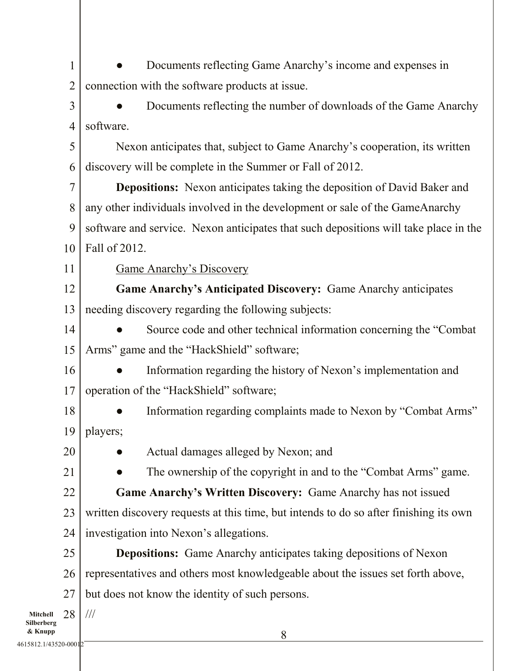1 2 Documents reflecting Game Anarchy's income and expenses in connection with the software products at issue.

3 4 Documents reflecting the number of downloads of the Game Anarchy software.

5 6 Nexon anticipates that, subject to Game Anarchy's cooperation, its written discovery will be complete in the Summer or Fall of 2012.

7 8 9 10 Depositions: Nexon anticipates taking the deposition of David Baker and any other individuals involved in the development or sale of the GameAnarchy software and service. Nexon anticipates that such depositions will take place in the Fall of 2012.

11

Game Anarchy's Discovery

12 13 Game Anarchy's Anticipated Discovery: Game Anarchy anticipates needing discovery regarding the following subjects:

14 15 Source code and other technical information concerning the "Combat" Arms" game and the "HackShield" software;

16 17 Information regarding the history of Nexon's implementation and operation of the "HackShield" software;

- 18 19 Information regarding complaints made to Nexon by "Combat Arms" players;
- 20

21

Actual damages alleged by Nexon; and

The ownership of the copyright in and to the "Combat Arms" game.

22 23 24 Game Anarchy's Written Discovery: Game Anarchy has not issued written discovery requests at this time, but intends to do so after finishing its own investigation into Nexon's allegations.

25 26 27 Depositions: Game Anarchy anticipates taking depositions of Nexon representatives and others most knowledgeable about the issues set forth above, but does not know the identity of such persons.

Mitchell Silberberg & Knupp 28 ///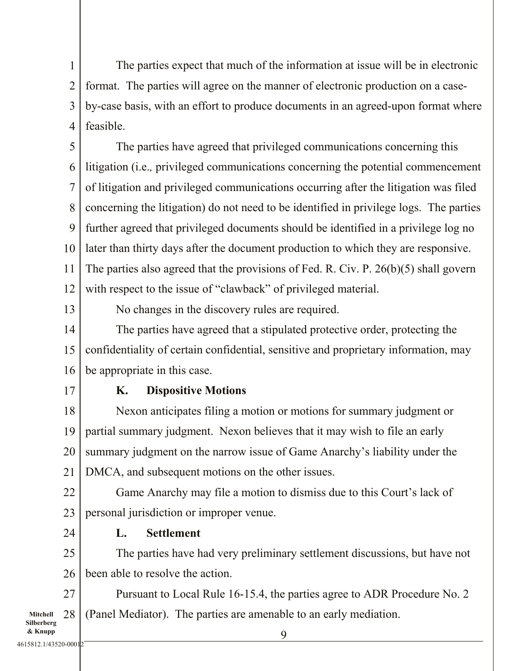1 2 3 4 The parties expect that much of the information at issue will be in electronic format. The parties will agree on the manner of electronic production on a caseby-case basis, with an effort to produce documents in an agreed-upon format where feasible.

5 6 7 8 9 10 11 12 The parties have agreed that privileged communications concerning this litigation (i.e.*,* privileged communications concerning the potential commencement of litigation and privileged communications occurring after the litigation was filed concerning the litigation) do not need to be identified in privilege logs. The parties further agreed that privileged documents should be identified in a privilege log no later than thirty days after the document production to which they are responsive. The parties also agreed that the provisions of Fed. R. Civ. P. 26(b)(5) shall govern with respect to the issue of "clawback" of privileged material.

13

No changes in the discovery rules are required.

14 15 16 The parties have agreed that a stipulated protective order, protecting the confidentiality of certain confidential, sensitive and proprietary information, may be appropriate in this case.

17

24

### K. Dispositive Motions

18 19 20 21 Nexon anticipates filing a motion or motions for summary judgment or partial summary judgment. Nexon believes that it may wish to file an early summary judgment on the narrow issue of Game Anarchy's liability under the DMCA, and subsequent motions on the other issues.

22 23 Game Anarchy may file a motion to dismiss due to this Court's lack of personal jurisdiction or improper venue.

L. Settlement

25 26 The parties have had very preliminary settlement discussions, but have not been able to resolve the action.

Mitchell Silberberg 27 28 Pursuant to Local Rule 16-15.4, the parties agree to ADR Procedure No. 2 (Panel Mediator). The parties are amenable to an early mediation.

& Knupp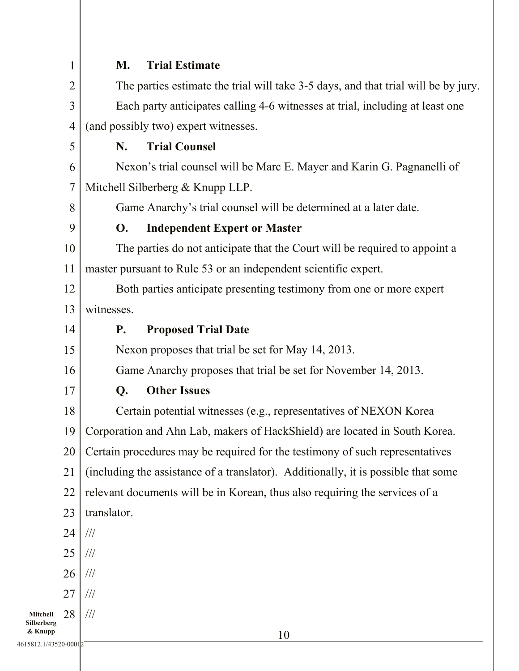|                        | 1               | <b>Trial Estimate</b><br>M.                                                        |  |
|------------------------|-----------------|------------------------------------------------------------------------------------|--|
|                        | $\overline{2}$  | The parties estimate the trial will take 3-5 days, and that trial will be by jury. |  |
|                        | 3               | Each party anticipates calling 4-6 witnesses at trial, including at least one      |  |
|                        | $\overline{4}$  | (and possibly two) expert witnesses.                                               |  |
|                        | 5               | <b>Trial Counsel</b><br>N.                                                         |  |
|                        | 6               | Nexon's trial counsel will be Marc E. Mayer and Karin G. Pagnanelli of             |  |
|                        | 7               | Mitchell Silberberg & Knupp LLP.                                                   |  |
|                        | 8               | Game Anarchy's trial counsel will be determined at a later date.                   |  |
|                        | 9               | <b>Independent Expert or Master</b><br><b>O.</b>                                   |  |
|                        | 10              | The parties do not anticipate that the Court will be required to appoint a         |  |
|                        | 11              | master pursuant to Rule 53 or an independent scientific expert.                    |  |
|                        | 12              | Both parties anticipate presenting testimony from one or more expert               |  |
|                        | 13              | witnesses.                                                                         |  |
|                        | 14              | <b>Proposed Trial Date</b><br><b>P.</b>                                            |  |
|                        | 15              | Nexon proposes that trial be set for May 14, 2013.                                 |  |
|                        | 16              | Game Anarchy proposes that trial be set for November 14, 2013.                     |  |
|                        | 17              | <b>Other Issues</b><br>Q.                                                          |  |
|                        | 18              | Certain potential witnesses (e.g., representatives of NEXON Korea                  |  |
|                        | 19 <sup>1</sup> | Corporation and Ahn Lab, makers of HackShield) are located in South Korea.         |  |
|                        | 20              | Certain procedures may be required for the testimony of such representatives       |  |
|                        | 21              | (including the assistance of a translator). Additionally, it is possible that some |  |
|                        | 22              | relevant documents will be in Korean, thus also requiring the services of a        |  |
|                        | 23              | translator.                                                                        |  |
|                        | 24              | $\frac{1}{1}$                                                                      |  |
|                        | 25              | $/ \! / \! /$                                                                      |  |
|                        | 26              | $/ \! / \! /$                                                                      |  |
|                        | 27              | $\frac{1}{1}$                                                                      |  |
| Mitchell<br>Silberberg | 28              | $\frac{1}{1}$                                                                      |  |
| & Knupp                |                 | 10                                                                                 |  |